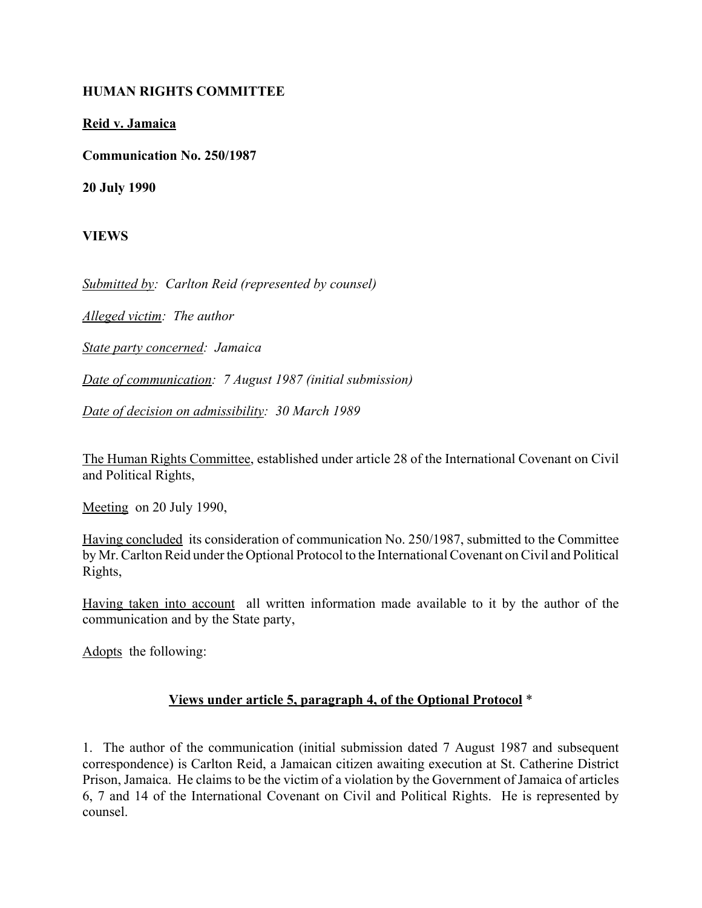## **HUMAN RIGHTS COMMITTEE**

## **Reid v. Jamaica**

**Communication No. 250/1987**

**20 July 1990**

**VIEWS**

*Submitted by: Carlton Reid (represented by counsel)*

*Alleged victim: The author*

*State party concerned: Jamaica*

*Date of communication: 7 August 1987 (initial submission)*

*Date of decision on admissibility: 30 March 1989*

The Human Rights Committee, established under article 28 of the International Covenant on Civil and Political Rights,

Meeting on 20 July 1990,

Having concluded its consideration of communication No. 250/1987, submitted to the Committee by Mr. Carlton Reid under the Optional Protocol to the International Covenant on Civil and Political Rights,

Having taken into account all written information made available to it by the author of the communication and by the State party,

Adopts the following:

## **Views under article 5, paragraph 4, of the Optional Protocol** \*

1. The author of the communication (initial submission dated 7 August 1987 and subsequent correspondence) is Carlton Reid, a Jamaican citizen awaiting execution at St. Catherine District Prison, Jamaica. He claims to be the victim of a violation by the Government of Jamaica of articles 6, 7 and 14 of the International Covenant on Civil and Political Rights. He is represented by counsel.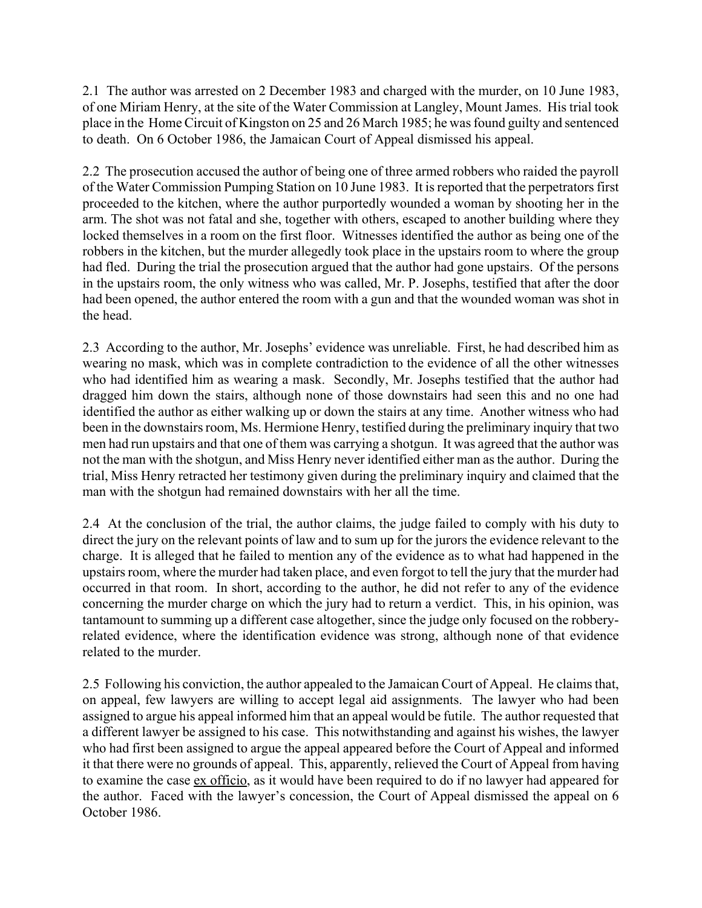2.1 The author was arrested on 2 December 1983 and charged with the murder, on 10 June 1983, of one Miriam Henry, at the site of the Water Commission at Langley, Mount James. His trial took place in the Home Circuit of Kingston on 25 and 26 March 1985; he was found guilty and sentenced to death. On 6 October 1986, the Jamaican Court of Appeal dismissed his appeal.

2.2 The prosecution accused the author of being one of three armed robbers who raided the payroll of the Water Commission Pumping Station on 10 June 1983. It is reported that the perpetrators first proceeded to the kitchen, where the author purportedly wounded a woman by shooting her in the arm. The shot was not fatal and she, together with others, escaped to another building where they locked themselves in a room on the first floor. Witnesses identified the author as being one of the robbers in the kitchen, but the murder allegedly took place in the upstairs room to where the group had fled. During the trial the prosecution argued that the author had gone upstairs. Of the persons in the upstairs room, the only witness who was called, Mr. P. Josephs, testified that after the door had been opened, the author entered the room with a gun and that the wounded woman was shot in the head.

2.3 According to the author, Mr. Josephs' evidence was unreliable. First, he had described him as wearing no mask, which was in complete contradiction to the evidence of all the other witnesses who had identified him as wearing a mask. Secondly, Mr. Josephs testified that the author had dragged him down the stairs, although none of those downstairs had seen this and no one had identified the author as either walking up or down the stairs at any time. Another witness who had been in the downstairs room, Ms. Hermione Henry, testified during the preliminary inquiry that two men had run upstairs and that one of them was carrying a shotgun. It was agreed that the author was not the man with the shotgun, and Miss Henry never identified either man as the author. During the trial, Miss Henry retracted her testimony given during the preliminary inquiry and claimed that the man with the shotgun had remained downstairs with her all the time.

2.4 At the conclusion of the trial, the author claims, the judge failed to comply with his duty to direct the jury on the relevant points of law and to sum up for the jurors the evidence relevant to the charge. It is alleged that he failed to mention any of the evidence as to what had happened in the upstairs room, where the murder had taken place, and even forgot to tell the jury that the murder had occurred in that room. In short, according to the author, he did not refer to any of the evidence concerning the murder charge on which the jury had to return a verdict. This, in his opinion, was tantamount to summing up a different case altogether, since the judge only focused on the robberyrelated evidence, where the identification evidence was strong, although none of that evidence related to the murder.

2.5 Following his conviction, the author appealed to the Jamaican Court of Appeal. He claims that, on appeal, few lawyers are willing to accept legal aid assignments. The lawyer who had been assigned to argue his appeal informed him that an appeal would be futile. The author requested that a different lawyer be assigned to his case. This notwithstanding and against his wishes, the lawyer who had first been assigned to argue the appeal appeared before the Court of Appeal and informed it that there were no grounds of appeal. This, apparently, relieved the Court of Appeal from having to examine the case ex officio, as it would have been required to do if no lawyer had appeared for the author. Faced with the lawyer's concession, the Court of Appeal dismissed the appeal on 6 October 1986.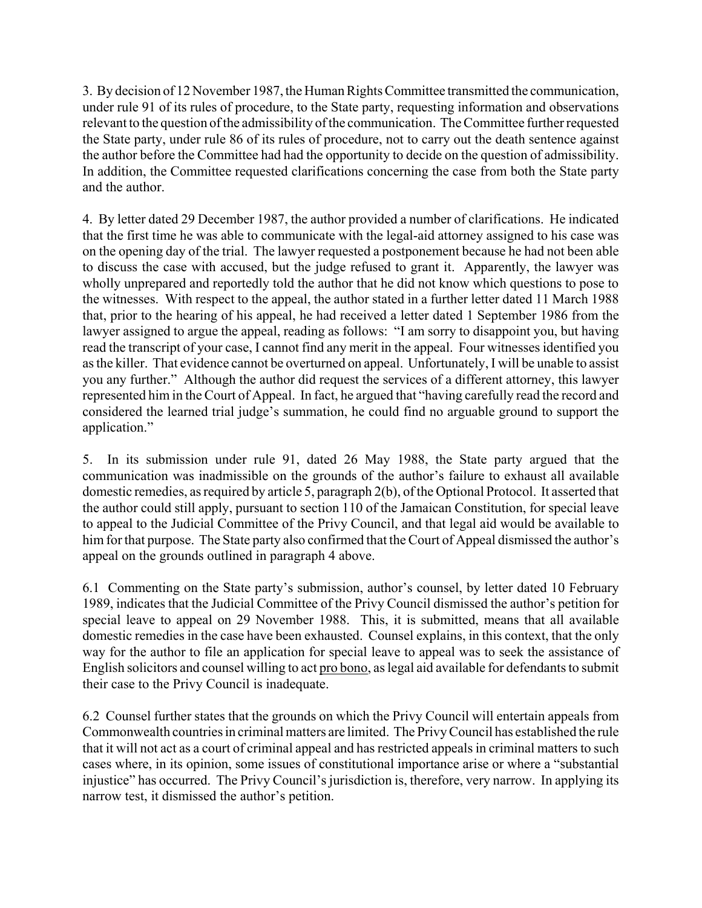3. By decision of 12 November 1987, the Human Rights Committee transmitted the communication, under rule 91 of its rules of procedure, to the State party, requesting information and observations relevant to the question of the admissibility of the communication. The Committee further requested the State party, under rule 86 of its rules of procedure, not to carry out the death sentence against the author before the Committee had had the opportunity to decide on the question of admissibility. In addition, the Committee requested clarifications concerning the case from both the State party and the author.

4. By letter dated 29 December 1987, the author provided a number of clarifications. He indicated that the first time he was able to communicate with the legal-aid attorney assigned to his case was on the opening day of the trial. The lawyer requested a postponement because he had not been able to discuss the case with accused, but the judge refused to grant it. Apparently, the lawyer was wholly unprepared and reportedly told the author that he did not know which questions to pose to the witnesses. With respect to the appeal, the author stated in a further letter dated 11 March 1988 that, prior to the hearing of his appeal, he had received a letter dated 1 September 1986 from the lawyer assigned to argue the appeal, reading as follows: "I am sorry to disappoint you, but having read the transcript of your case, I cannot find any merit in the appeal. Four witnesses identified you as the killer. That evidence cannot be overturned on appeal. Unfortunately, I will be unable to assist you any further." Although the author did request the services of a different attorney, this lawyer represented him in the Court of Appeal. In fact, he argued that "having carefully read the record and considered the learned trial judge's summation, he could find no arguable ground to support the application."

5. In its submission under rule 91, dated 26 May 1988, the State party argued that the communication was inadmissible on the grounds of the author's failure to exhaust all available domestic remedies, as required by article 5, paragraph 2(b), of the Optional Protocol. It asserted that the author could still apply, pursuant to section 110 of the Jamaican Constitution, for special leave to appeal to the Judicial Committee of the Privy Council, and that legal aid would be available to him for that purpose. The State party also confirmed that the Court of Appeal dismissed the author's appeal on the grounds outlined in paragraph 4 above.

6.1 Commenting on the State party's submission, author's counsel, by letter dated 10 February 1989, indicates that the Judicial Committee of the Privy Council dismissed the author's petition for special leave to appeal on 29 November 1988. This, it is submitted, means that all available domestic remedies in the case have been exhausted. Counsel explains, in this context, that the only way for the author to file an application for special leave to appeal was to seek the assistance of English solicitors and counsel willing to act pro bono, as legal aid available for defendants to submit their case to the Privy Council is inadequate.

6.2 Counsel further states that the grounds on which the Privy Council will entertain appeals from Commonwealth countries in criminal matters are limited. The Privy Council has established the rule that it will not act as a court of criminal appeal and has restricted appeals in criminal matters to such cases where, in its opinion, some issues of constitutional importance arise or where a "substantial" injustice" has occurred. The Privy Council's jurisdiction is, therefore, very narrow. In applying its narrow test, it dismissed the author's petition.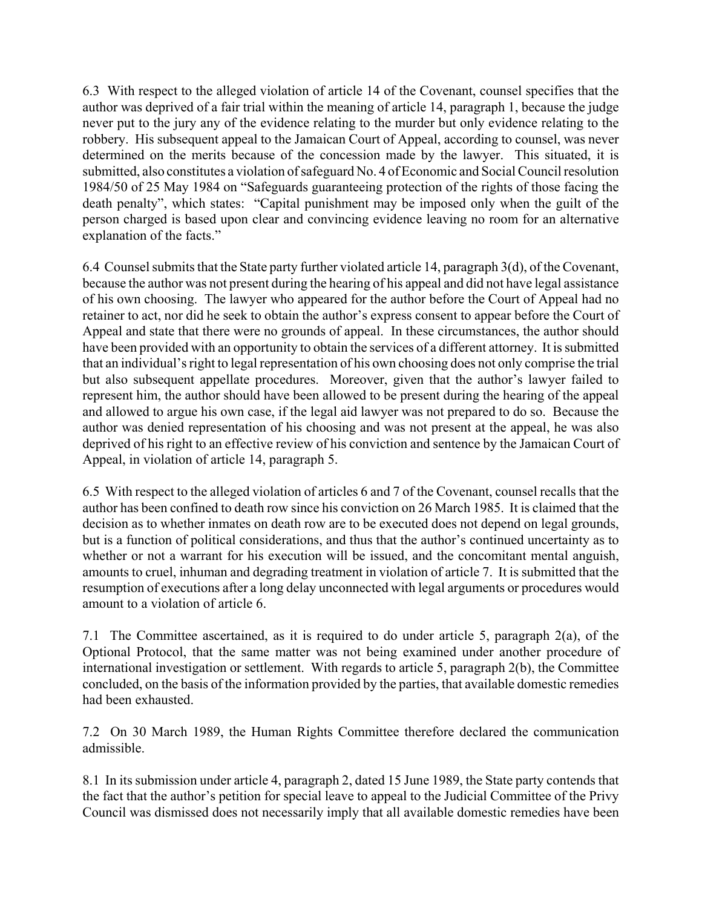6.3 With respect to the alleged violation of article 14 of the Covenant, counsel specifies that the author was deprived of a fair trial within the meaning of article 14, paragraph 1, because the judge never put to the jury any of the evidence relating to the murder but only evidence relating to the robbery. His subsequent appeal to the Jamaican Court of Appeal, according to counsel, was never determined on the merits because of the concession made by the lawyer. This situated, it is submitted, also constitutes a violation of safeguard No. 4 of Economic and Social Council resolution 1984/50 of 25 May 1984 on "Safeguards guaranteeing protection of the rights of those facing the death penalty", which states: "Capital punishment may be imposed only when the guilt of the person charged is based upon clear and convincing evidence leaving no room for an alternative explanation of the facts."

6.4 Counsel submits that the State party further violated article 14, paragraph 3(d), of the Covenant, because the author was not present during the hearing of his appeal and did not have legal assistance of his own choosing. The lawyer who appeared for the author before the Court of Appeal had no retainer to act, nor did he seek to obtain the author's express consent to appear before the Court of Appeal and state that there were no grounds of appeal. In these circumstances, the author should have been provided with an opportunity to obtain the services of a different attorney. It is submitted that an individual's right to legal representation of his own choosing does not only comprise the trial but also subsequent appellate procedures. Moreover, given that the author's lawyer failed to represent him, the author should have been allowed to be present during the hearing of the appeal and allowed to argue his own case, if the legal aid lawyer was not prepared to do so. Because the author was denied representation of his choosing and was not present at the appeal, he was also deprived of his right to an effective review of his conviction and sentence by the Jamaican Court of Appeal, in violation of article 14, paragraph 5.

6.5 With respect to the alleged violation of articles 6 and 7 of the Covenant, counsel recalls that the author has been confined to death row since his conviction on 26 March 1985. It is claimed that the decision as to whether inmates on death row are to be executed does not depend on legal grounds, but is a function of political considerations, and thus that the author's continued uncertainty as to whether or not a warrant for his execution will be issued, and the concomitant mental anguish, amounts to cruel, inhuman and degrading treatment in violation of article 7. It is submitted that the resumption of executions after a long delay unconnected with legal arguments or procedures would amount to a violation of article 6.

7.1 The Committee ascertained, as it is required to do under article 5, paragraph 2(a), of the Optional Protocol, that the same matter was not being examined under another procedure of international investigation or settlement. With regards to article 5, paragraph 2(b), the Committee concluded, on the basis of the information provided by the parties, that available domestic remedies had been exhausted.

7.2 On 30 March 1989, the Human Rights Committee therefore declared the communication admissible.

8.1 In its submission under article 4, paragraph 2, dated 15 June 1989, the State party contends that the fact that the author's petition for special leave to appeal to the Judicial Committee of the Privy Council was dismissed does not necessarily imply that all available domestic remedies have been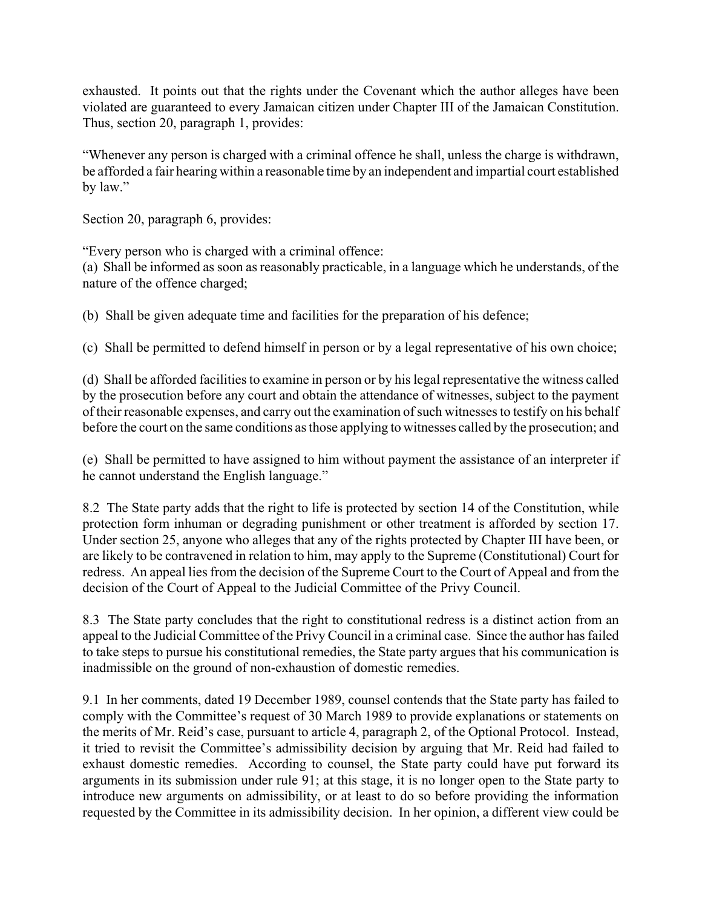exhausted. It points out that the rights under the Covenant which the author alleges have been violated are guaranteed to every Jamaican citizen under Chapter III of the Jamaican Constitution. Thus, section 20, paragraph 1, provides:

ìWhenever any person is charged with a criminal offence he shall, unless the charge is withdrawn, be afforded a fair hearing within a reasonable time by an independent and impartial court established by law."

Section 20, paragraph 6, provides:

ìEvery person who is charged with a criminal offence:

(a) Shall be informed as soon as reasonably practicable, in a language which he understands, of the nature of the offence charged;

(b) Shall be given adequate time and facilities for the preparation of his defence;

(c) Shall be permitted to defend himself in person or by a legal representative of his own choice;

(d) Shall be afforded facilities to examine in person or by his legal representative the witness called by the prosecution before any court and obtain the attendance of witnesses, subject to the payment of their reasonable expenses, and carry out the examination of such witnesses to testify on his behalf before the court on the same conditions as those applying to witnesses called by the prosecution; and

(e) Shall be permitted to have assigned to him without payment the assistance of an interpreter if he cannot understand the English language."

8.2 The State party adds that the right to life is protected by section 14 of the Constitution, while protection form inhuman or degrading punishment or other treatment is afforded by section 17. Under section 25, anyone who alleges that any of the rights protected by Chapter III have been, or are likely to be contravened in relation to him, may apply to the Supreme (Constitutional) Court for redress. An appeal lies from the decision of the Supreme Court to the Court of Appeal and from the decision of the Court of Appeal to the Judicial Committee of the Privy Council.

8.3 The State party concludes that the right to constitutional redress is a distinct action from an appeal to the Judicial Committee of the Privy Council in a criminal case. Since the author has failed to take steps to pursue his constitutional remedies, the State party argues that his communication is inadmissible on the ground of non-exhaustion of domestic remedies.

9.1 In her comments, dated 19 December 1989, counsel contends that the State party has failed to comply with the Committee's request of 30 March 1989 to provide explanations or statements on the merits of Mr. Reid's case, pursuant to article 4, paragraph 2, of the Optional Protocol. Instead, it tried to revisit the Committee's admissibility decision by arguing that Mr. Reid had failed to exhaust domestic remedies. According to counsel, the State party could have put forward its arguments in its submission under rule 91; at this stage, it is no longer open to the State party to introduce new arguments on admissibility, or at least to do so before providing the information requested by the Committee in its admissibility decision. In her opinion, a different view could be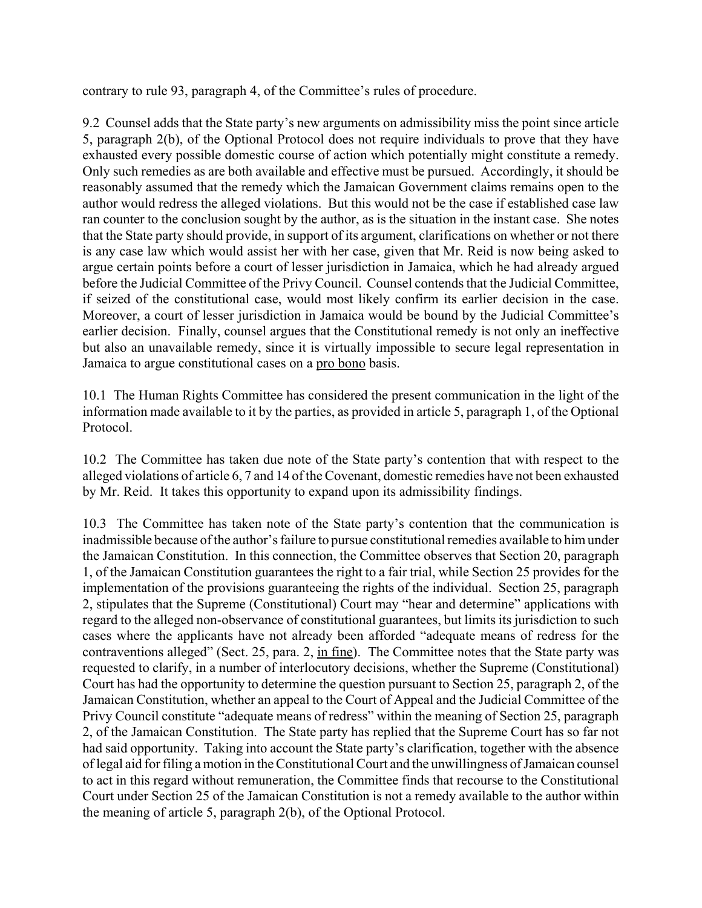contrary to rule 93, paragraph 4, of the Committee's rules of procedure.

9.2 Counsel adds that the State party's new arguments on admissibility miss the point since article 5, paragraph 2(b), of the Optional Protocol does not require individuals to prove that they have exhausted every possible domestic course of action which potentially might constitute a remedy. Only such remedies as are both available and effective must be pursued. Accordingly, it should be reasonably assumed that the remedy which the Jamaican Government claims remains open to the author would redress the alleged violations. But this would not be the case if established case law ran counter to the conclusion sought by the author, as is the situation in the instant case. She notes that the State party should provide, in support of its argument, clarifications on whether or not there is any case law which would assist her with her case, given that Mr. Reid is now being asked to argue certain points before a court of lesser jurisdiction in Jamaica, which he had already argued before the Judicial Committee of the Privy Council. Counsel contends that the Judicial Committee, if seized of the constitutional case, would most likely confirm its earlier decision in the case. Moreover, a court of lesser jurisdiction in Jamaica would be bound by the Judicial Committee's earlier decision. Finally, counsel argues that the Constitutional remedy is not only an ineffective but also an unavailable remedy, since it is virtually impossible to secure legal representation in Jamaica to argue constitutional cases on a pro bono basis.

10.1 The Human Rights Committee has considered the present communication in the light of the information made available to it by the parties, as provided in article 5, paragraph 1, of the Optional Protocol.

10.2 The Committee has taken due note of the State partyís contention that with respect to the alleged violations of article 6, 7 and 14 of the Covenant, domestic remedies have not been exhausted by Mr. Reid. It takes this opportunity to expand upon its admissibility findings.

10.3 The Committee has taken note of the State party's contention that the communication is inadmissible because of the author's failure to pursue constitutional remedies available to him under the Jamaican Constitution. In this connection, the Committee observes that Section 20, paragraph 1, of the Jamaican Constitution guarantees the right to a fair trial, while Section 25 provides for the implementation of the provisions guaranteeing the rights of the individual. Section 25, paragraph 2, stipulates that the Supreme (Constitutional) Court may "hear and determine" applications with regard to the alleged non-observance of constitutional guarantees, but limits its jurisdiction to such cases where the applicants have not already been afforded "adequate means of redress for the contraventions alleged" (Sect. 25, para. 2, in fine). The Committee notes that the State party was requested to clarify, in a number of interlocutory decisions, whether the Supreme (Constitutional) Court has had the opportunity to determine the question pursuant to Section 25, paragraph 2, of the Jamaican Constitution, whether an appeal to the Court of Appeal and the Judicial Committee of the Privy Council constitute "adequate means of redress" within the meaning of Section 25, paragraph 2, of the Jamaican Constitution. The State party has replied that the Supreme Court has so far not had said opportunity. Taking into account the State party's clarification, together with the absence of legal aid for filing a motion in the Constitutional Court and the unwillingness of Jamaican counsel to act in this regard without remuneration, the Committee finds that recourse to the Constitutional Court under Section 25 of the Jamaican Constitution is not a remedy available to the author within the meaning of article 5, paragraph 2(b), of the Optional Protocol.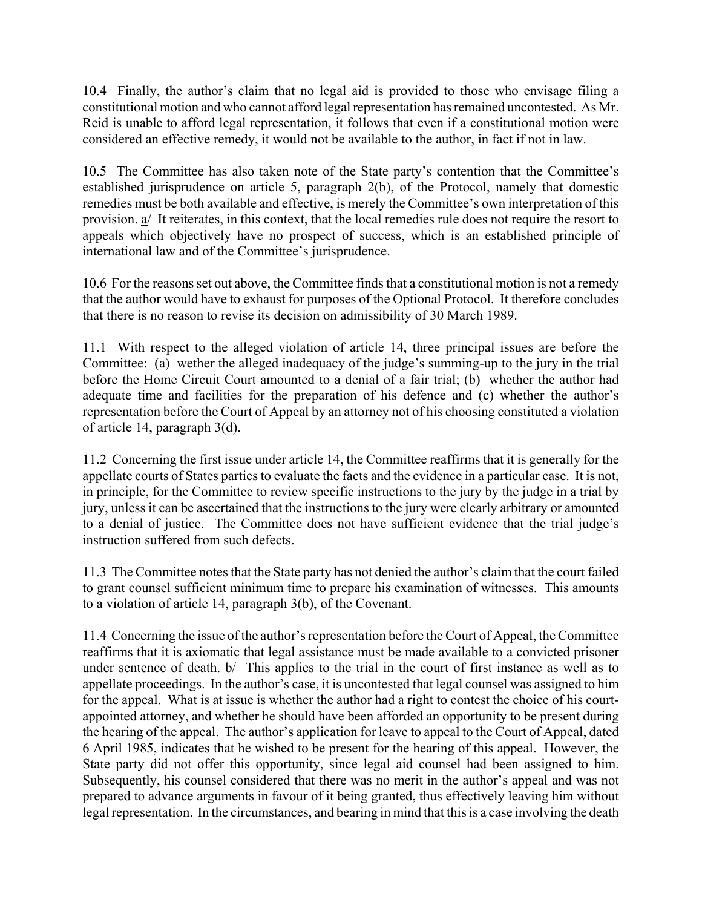10.4 Finally, the author's claim that no legal aid is provided to those who envisage filing a constitutional motion and who cannot afford legal representation has remained uncontested. As Mr. Reid is unable to afford legal representation, it follows that even if a constitutional motion were considered an effective remedy, it would not be available to the author, in fact if not in law.

10.5 The Committee has also taken note of the State party's contention that the Committee's established jurisprudence on article 5, paragraph 2(b), of the Protocol, namely that domestic remedies must be both available and effective, is merely the Committee's own interpretation of this provision. a/ It reiterates, in this context, that the local remedies rule does not require the resort to appeals which objectively have no prospect of success, which is an established principle of international law and of the Committee's jurisprudence.

10.6 For the reasons set out above, the Committee finds that a constitutional motion is not a remedy that the author would have to exhaust for purposes of the Optional Protocol. It therefore concludes that there is no reason to revise its decision on admissibility of 30 March 1989.

11.1 With respect to the alleged violation of article 14, three principal issues are before the Committee: (a) wether the alleged inadequacy of the judge's summing-up to the jury in the trial before the Home Circuit Court amounted to a denial of a fair trial; (b) whether the author had adequate time and facilities for the preparation of his defence and (c) whether the author's representation before the Court of Appeal by an attorney not of his choosing constituted a violation of article 14, paragraph 3(d).

11.2 Concerning the first issue under article 14, the Committee reaffirms that it is generally for the appellate courts of States parties to evaluate the facts and the evidence in a particular case. It is not, in principle, for the Committee to review specific instructions to the jury by the judge in a trial by jury, unless it can be ascertained that the instructions to the jury were clearly arbitrary or amounted to a denial of justice. The Committee does not have sufficient evidence that the trial judge's instruction suffered from such defects.

11.3 The Committee notes that the State party has not denied the author's claim that the court failed to grant counsel sufficient minimum time to prepare his examination of witnesses. This amounts to a violation of article 14, paragraph 3(b), of the Covenant.

11.4 Concerning the issue of the author's representation before the Court of Appeal, the Committee reaffirms that it is axiomatic that legal assistance must be made available to a convicted prisoner under sentence of death.  $\frac{b}{ }$  This applies to the trial in the court of first instance as well as to appellate proceedings. In the author's case, it is uncontested that legal counsel was assigned to him for the appeal. What is at issue is whether the author had a right to contest the choice of his courtappointed attorney, and whether he should have been afforded an opportunity to be present during the hearing of the appeal. The author's application for leave to appeal to the Court of Appeal, dated 6 April 1985, indicates that he wished to be present for the hearing of this appeal. However, the State party did not offer this opportunity, since legal aid counsel had been assigned to him. Subsequently, his counsel considered that there was no merit in the author's appeal and was not prepared to advance arguments in favour of it being granted, thus effectively leaving him without legal representation. In the circumstances, and bearing in mind that this is a case involving the death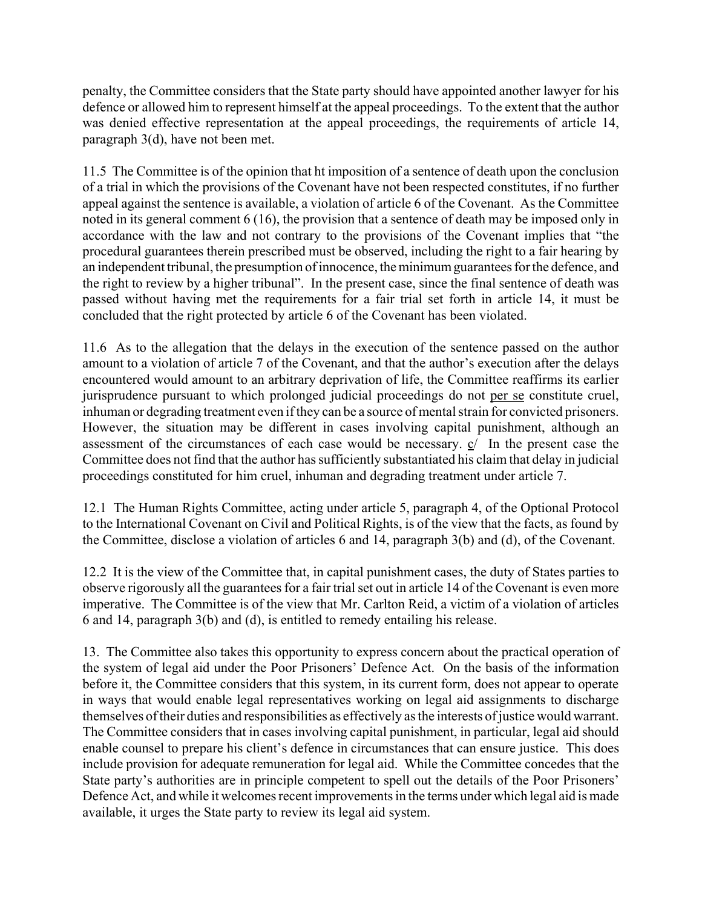penalty, the Committee considers that the State party should have appointed another lawyer for his defence or allowed him to represent himself at the appeal proceedings. To the extent that the author was denied effective representation at the appeal proceedings, the requirements of article 14, paragraph 3(d), have not been met.

11.5 The Committee is of the opinion that ht imposition of a sentence of death upon the conclusion of a trial in which the provisions of the Covenant have not been respected constitutes, if no further appeal against the sentence is available, a violation of article 6 of the Covenant. As the Committee noted in its general comment 6 (16), the provision that a sentence of death may be imposed only in accordance with the law and not contrary to the provisions of the Covenant implies that "the procedural guarantees therein prescribed must be observed, including the right to a fair hearing by an independent tribunal, the presumption of innocence, the minimum guarantees for the defence, and the right to review by a higher tribunal". In the present case, since the final sentence of death was passed without having met the requirements for a fair trial set forth in article 14, it must be concluded that the right protected by article 6 of the Covenant has been violated.

11.6 As to the allegation that the delays in the execution of the sentence passed on the author amount to a violation of article 7 of the Covenant, and that the author's execution after the delays encountered would amount to an arbitrary deprivation of life, the Committee reaffirms its earlier jurisprudence pursuant to which prolonged judicial proceedings do not per se constitute cruel, inhuman or degrading treatment even if they can be a source of mental strain for convicted prisoners. However, the situation may be different in cases involving capital punishment, although an assessment of the circumstances of each case would be necessary. c/ In the present case the Committee does not find that the author has sufficiently substantiated his claim that delay in judicial proceedings constituted for him cruel, inhuman and degrading treatment under article 7.

12.1 The Human Rights Committee, acting under article 5, paragraph 4, of the Optional Protocol to the International Covenant on Civil and Political Rights, is of the view that the facts, as found by the Committee, disclose a violation of articles 6 and 14, paragraph 3(b) and (d), of the Covenant.

12.2 It is the view of the Committee that, in capital punishment cases, the duty of States parties to observe rigorously all the guarantees for a fair trial set out in article 14 of the Covenant is even more imperative. The Committee is of the view that Mr. Carlton Reid, a victim of a violation of articles 6 and 14, paragraph 3(b) and (d), is entitled to remedy entailing his release.

13. The Committee also takes this opportunity to express concern about the practical operation of the system of legal aid under the Poor Prisoners' Defence Act. On the basis of the information before it, the Committee considers that this system, in its current form, does not appear to operate in ways that would enable legal representatives working on legal aid assignments to discharge themselves of their duties and responsibilities as effectively as the interests of justice would warrant. The Committee considers that in cases involving capital punishment, in particular, legal aid should enable counsel to prepare his client's defence in circumstances that can ensure justice. This does include provision for adequate remuneration for legal aid. While the Committee concedes that the State party's authorities are in principle competent to spell out the details of the Poor Prisoners' Defence Act, and while it welcomes recent improvements in the terms under which legal aid is made available, it urges the State party to review its legal aid system.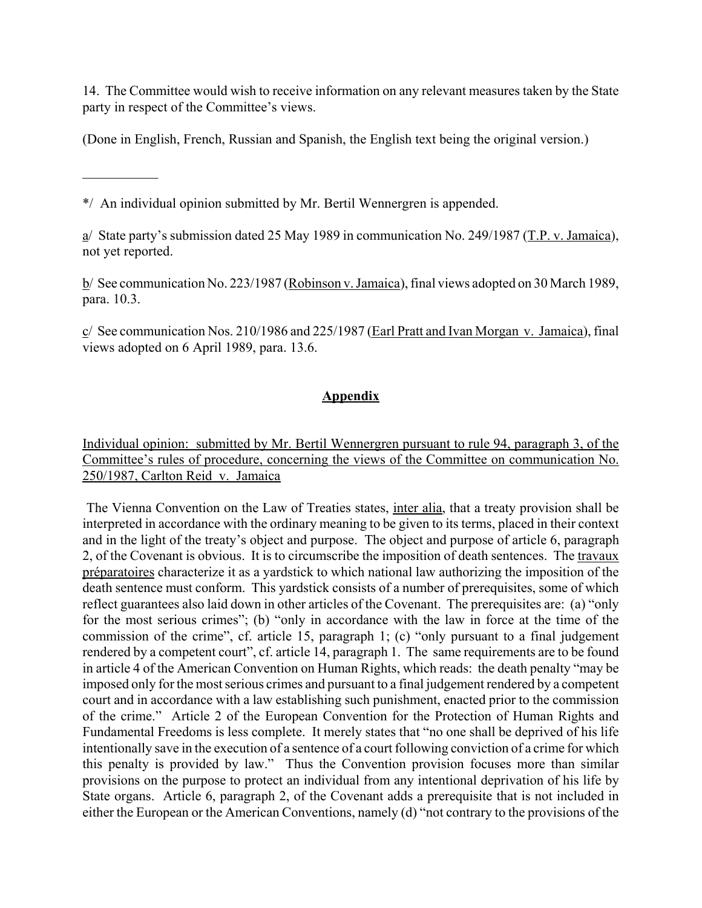14. The Committee would wish to receive information on any relevant measures taken by the State party in respect of the Committee's views.

(Done in English, French, Russian and Spanish, the English text being the original version.)

\*/ An individual opinion submitted by Mr. Bertil Wennergren is appended.

 $\mathcal{L}_\text{max}$ 

a/ State party's submission dated 25 May 1989 in communication No. 249/1987 (T.P. v. Jamaica), not yet reported.

b/ See communication No. 223/1987 (Robinson v. Jamaica), final views adopted on 30 March 1989, para. 10.3.

 $c/$  See communication Nos. 210/1986 and 225/1987 (Earl Pratt and Ivan Morgan v. Jamaica), final views adopted on 6 April 1989, para. 13.6.

## **Appendix**

Individual opinion: submitted by Mr. Bertil Wennergren pursuant to rule 94, paragraph 3, of the Committee's rules of procedure, concerning the views of the Committee on communication No. 250/1987, Carlton Reid v. Jamaica

 The Vienna Convention on the Law of Treaties states, inter alia, that a treaty provision shall be interpreted in accordance with the ordinary meaning to be given to its terms, placed in their context and in the light of the treaty's object and purpose. The object and purpose of article 6, paragraph 2, of the Covenant is obvious. It is to circumscribe the imposition of death sentences. The travaux préparatoires characterize it as a yardstick to which national law authorizing the imposition of the death sentence must conform. This yardstick consists of a number of prerequisites, some of which reflect guarantees also laid down in other articles of the Covenant. The prerequisites are: (a) "only for the most serious crimes"; (b) "only in accordance with the law in force at the time of the commission of the crime", cf. article 15, paragraph 1; (c) "only pursuant to a final judgement rendered by a competent court", cf. article 14, paragraph 1. The same requirements are to be found in article 4 of the American Convention on Human Rights, which reads: the death penalty "may be imposed only for the most serious crimes and pursuant to a final judgement rendered by a competent court and in accordance with a law establishing such punishment, enacted prior to the commission of the crime." Article 2 of the European Convention for the Protection of Human Rights and Fundamental Freedoms is less complete. It merely states that "no one shall be deprived of his life intentionally save in the execution of a sentence of a court following conviction of a crime for which this penalty is provided by law." Thus the Convention provision focuses more than similar provisions on the purpose to protect an individual from any intentional deprivation of his life by State organs. Article 6, paragraph 2, of the Covenant adds a prerequisite that is not included in either the European or the American Conventions, namely  $(d)$  "not contrary to the provisions of the